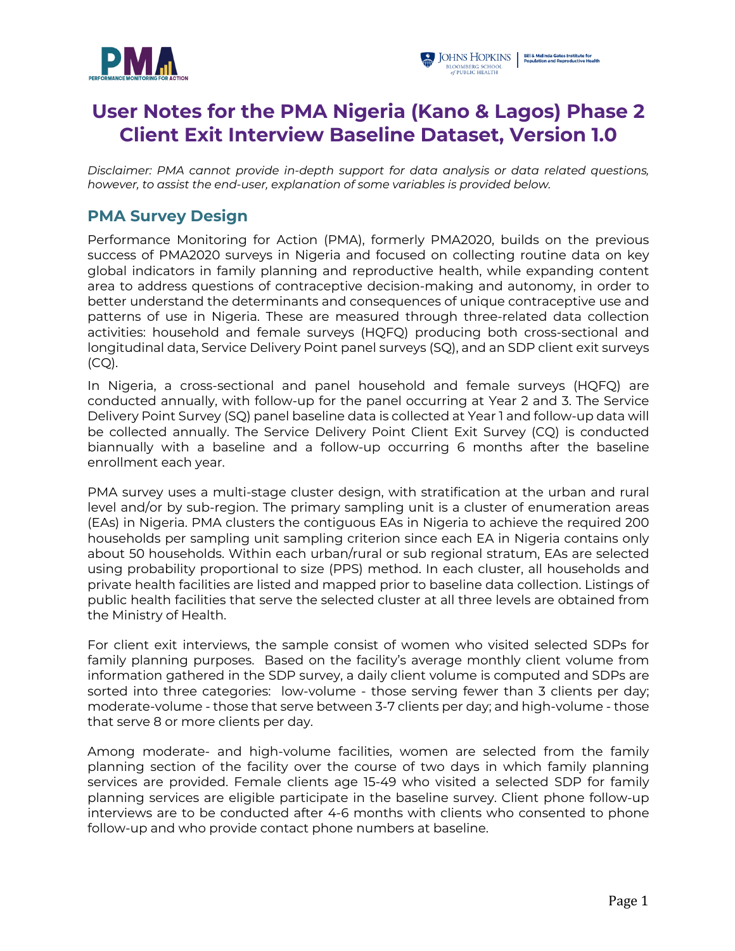



# **User Notes for the PMA Nigeria (Kano & Lagos) Phase 2 Client Exit Interview Baseline Dataset, Version 1.0**

*Disclaimer: PMA cannot provide in-depth support for data analysis or data related questions, however, to assist the end-user, explanation of some variables is provided below.*

#### **PMA Survey Design**

Performance Monitoring for Action (PMA), formerly PMA2020, builds on the previous success of PMA2020 surveys in Nigeria and focused on collecting routine data on key global indicators in family planning and reproductive health, while expanding content area to address questions of contraceptive decision-making and autonomy, in order to better understand the determinants and consequences of unique contraceptive use and patterns of use in Nigeria. These are measured through three-related data collection activities: household and female surveys (HQFQ) producing both cross-sectional and longitudinal data, Service Delivery Point panel surveys (SQ), and an SDP client exit surveys (CQ).

In Nigeria, a cross-sectional and panel household and female surveys (HQFQ) are conducted annually, with follow-up for the panel occurring at Year 2 and 3. The Service Delivery Point Survey (SQ) panel baseline data is collected at Year 1 and follow-up data will be collected annually. The Service Delivery Point Client Exit Survey (CQ) is conducted biannually with a baseline and a follow-up occurring 6 months after the baseline enrollment each year.

PMA survey uses a multi-stage cluster design, with stratification at the urban and rural level and/or by sub-region. The primary sampling unit is a cluster of enumeration areas (EAs) in Nigeria. PMA clusters the contiguous EAs in Nigeria to achieve the required 200 households per sampling unit sampling criterion since each EA in Nigeria contains only about 50 households. Within each urban/rural or sub regional stratum, EAs are selected using probability proportional to size (PPS) method. In each cluster, all households and private health facilities are listed and mapped prior to baseline data collection. Listings of public health facilities that serve the selected cluster at all three levels are obtained from the Ministry of Health.

For client exit interviews, the sample consist of women who visited selected SDPs for family planning purposes. Based on the facility's average monthly client volume from information gathered in the SDP survey, a daily client volume is computed and SDPs are sorted into three categories: low-volume - those serving fewer than 3 clients per day; moderate-volume - those that serve between 3-7 clients per day; and high-volume - those that serve 8 or more clients per day.

Among moderate- and high-volume facilities, women are selected from the family planning section of the facility over the course of two days in which family planning services are provided. Female clients age 15-49 who visited a selected SDP for family planning services are eligible participate in the baseline survey. Client phone follow-up interviews are to be conducted after 4-6 months with clients who consented to phone follow-up and who provide contact phone numbers at baseline.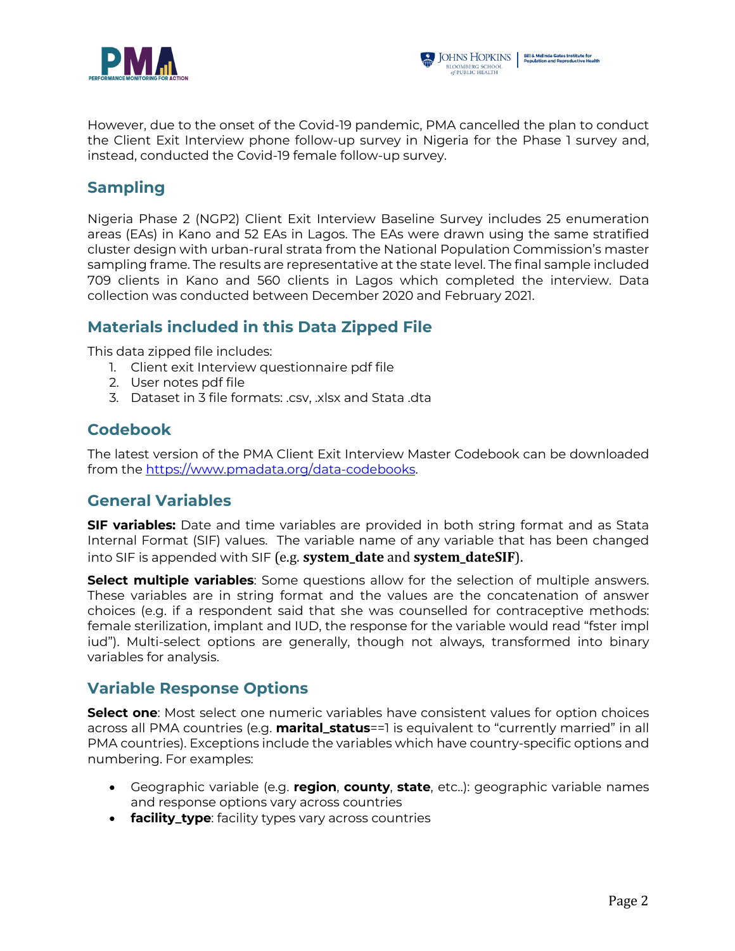



However, due to the onset of the Covid-19 pandemic, PMA cancelled the plan to conduct the Client Exit Interview phone follow-up survey in Nigeria for the Phase 1 survey and, instead, conducted the Covid-19 female follow-up survey.

# **Sampling**

Nigeria Phase 2 (NGP2) Client Exit Interview Baseline Survey includes 25 enumeration areas (EAs) in Kano and 52 EAs in Lagos. The EAs were drawn using the same stratified cluster design with urban-rural strata from the National Population Commission's master sampling frame. The results are representative at the state level. The final sample included 709 clients in Kano and 560 clients in Lagos which completed the interview. Data collection was conducted between December 2020 and February 2021.

# **Materials included in this Data Zipped File**

This data zipped file includes:

- 1. Client exit Interview questionnaire pdf file
- 2. User notes pdf file
- 3. Dataset in 3 file formats: .csv, .xlsx and Stata .dta

#### **Codebook**

The latest version of the PMA Client Exit Interview Master Codebook can be downloaded from the https://www.pmadata.org/data-codebooks.

# **General Variables**

**SIF variables:** Date and time variables are provided in both string format and as Stata Internal Format (SIF) values. The variable name of any variable that has been changed into SIF is appended with SIF (e.g. **system date** and **system dateSIF**).

**Select multiple variables**: Some questions allow for the selection of multiple answers. These variables are in string format and the values are the concatenation of answer choices (e.g. if a respondent said that she was counselled for contraceptive methods: female sterilization, implant and IUD, the response for the variable would read "fster impl iud"). Multi-select options are generally, though not always, transformed into binary variables for analysis.

#### **Variable Response Options**

**Select one**: Most select one numeric variables have consistent values for option choices across all PMA countries (e.g. **marital\_status**==1 is equivalent to "currently married" in all PMA countries). Exceptions include the variables which have country-specific options and numbering. For examples:

- Geographic variable (e.g. **region**, **county**, **state**, etc..): geographic variable names and response options vary across countries
- **facility\_type**: facility types vary across countries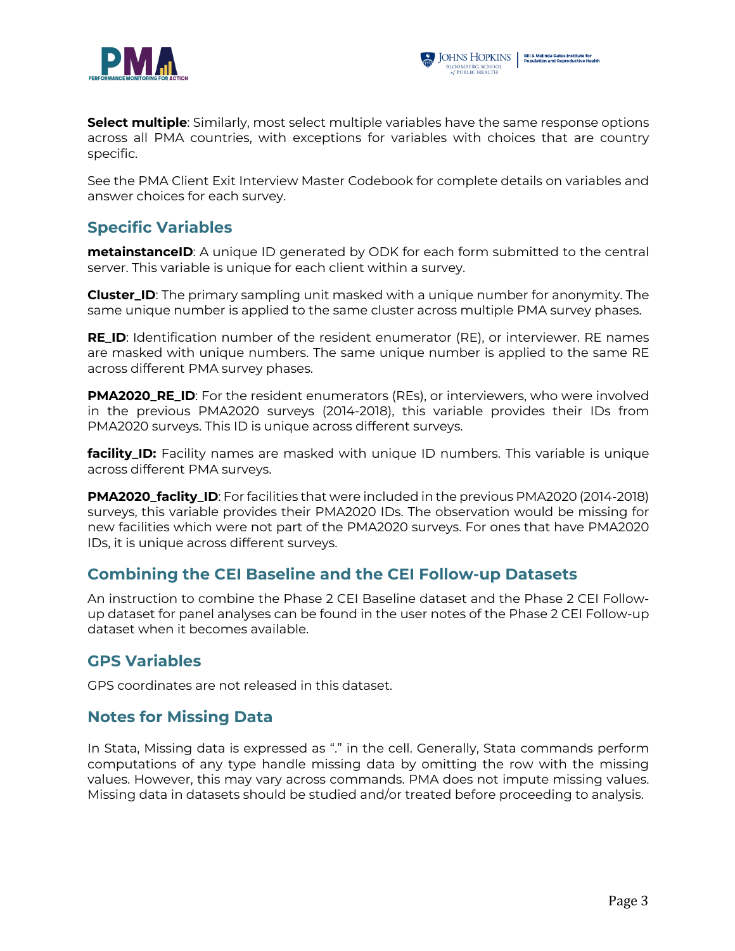



**Select multiple**: Similarly, most select multiple variables have the same response options across all PMA countries, with exceptions for variables with choices that are country specific.

See the PMA Client Exit Interview Master Codebook for complete details on variables and answer choices for each survey.

# **Specific Variables**

**metainstanceID**: A unique ID generated by ODK for each form submitted to the central server. This variable is unique for each client within a survey.

**Cluster\_ID**: The primary sampling unit masked with a unique number for anonymity. The same unique number is applied to the same cluster across multiple PMA survey phases.

**RE\_ID**: Identification number of the resident enumerator (RE), or interviewer. RE names are masked with unique numbers. The same unique number is applied to the same RE across different PMA survey phases.

**PMA2020\_RE\_ID**: For the resident enumerators (REs), or interviewers, who were involved in the previous PMA2020 surveys (2014-2018), this variable provides their IDs from PMA2020 surveys. This ID is unique across different surveys.

**facility\_ID:** Facility names are masked with unique ID numbers. This variable is unique across different PMA surveys.

**PMA2020\_faclity\_ID**: For facilities that were included in the previous PMA2020 (2014-2018) surveys, this variable provides their PMA2020 IDs. The observation would be missing for new facilities which were not part of the PMA2020 surveys. For ones that have PMA2020 IDs, it is unique across different surveys.

#### **Combining the CEI Baseline and the CEI Follow-up Datasets**

An instruction to combine the Phase 2 CEI Baseline dataset and the Phase 2 CEI Followup dataset for panel analyses can be found in the user notes of the Phase 2 CEI Follow-up dataset when it becomes available.

# **GPS Variables**

GPS coordinates are not released in this dataset.

# **Notes for Missing Data**

In Stata, Missing data is expressed as "." in the cell. Generally, Stata commands perform computations of any type handle missing data by omitting the row with the missing values. However, this may vary across commands. PMA does not impute missing values. Missing data in datasets should be studied and/or treated before proceeding to analysis.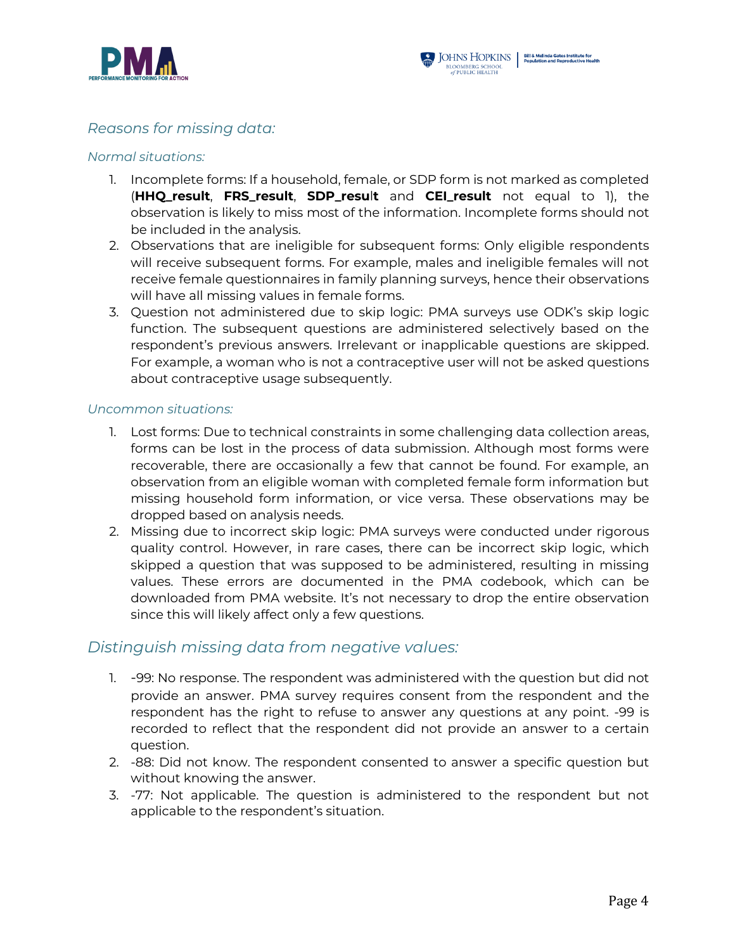

#### *Reasons for missing data:*

#### *Normal situations:*

- 1. Incomplete forms: If a household, female, or SDP form is not marked as completed (**HHQ\_result**, **FRS\_result**, **SDP\_resu**l**t** and **CEI\_result** not equal to 1), the observation is likely to miss most of the information. Incomplete forms should not be included in the analysis.
- 2. Observations that are ineligible for subsequent forms: Only eligible respondents will receive subsequent forms. For example, males and ineligible females will not receive female questionnaires in family planning surveys, hence their observations will have all missing values in female forms.
- 3. Question not administered due to skip logic: PMA surveys use ODK's skip logic function. The subsequent questions are administered selectively based on the respondent's previous answers. Irrelevant or inapplicable questions are skipped. For example, a woman who is not a contraceptive user will not be asked questions about contraceptive usage subsequently.

#### *Uncommon situations:*

- 1. Lost forms: Due to technical constraints in some challenging data collection areas, forms can be lost in the process of data submission. Although most forms were recoverable, there are occasionally a few that cannot be found. For example, an observation from an eligible woman with completed female form information but missing household form information, or vice versa. These observations may be dropped based on analysis needs.
- 2. Missing due to incorrect skip logic: PMA surveys were conducted under rigorous quality control. However, in rare cases, there can be incorrect skip logic, which skipped a question that was supposed to be administered, resulting in missing values. These errors are documented in the PMA codebook, which can be downloaded from PMA website. It's not necessary to drop the entire observation since this will likely affect only a few questions.

#### *Distinguish missing data from negative values:*

- 1. -99: No response. The respondent was administered with the question but did not provide an answer. PMA survey requires consent from the respondent and the respondent has the right to refuse to answer any questions at any point. -99 is recorded to reflect that the respondent did not provide an answer to a certain question.
- 2. -88: Did not know. The respondent consented to answer a specific question but without knowing the answer.
- 3. -77: Not applicable. The question is administered to the respondent but not applicable to the respondent's situation.